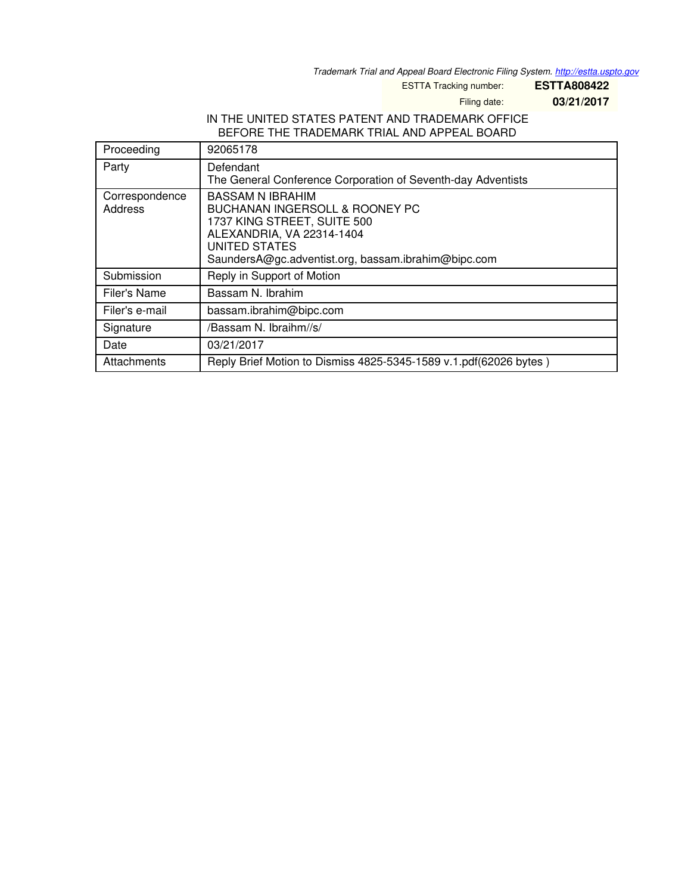*Trademark Trial and Appeal Board Electronic Filing System. <http://estta.uspto.gov>*

ESTTA Tracking number: **ESTTA808422**

Filing date: **03/21/2017**

# IN THE UNITED STATES PATENT AND TRADEMARK OFFICE BEFORE THE TRADEMARK TRIAL AND APPEAL BOARD

| Proceeding                | 92065178                                                                                                                                                                                                 |
|---------------------------|----------------------------------------------------------------------------------------------------------------------------------------------------------------------------------------------------------|
| Party                     | Defendant<br>The General Conference Corporation of Seventh-day Adventists                                                                                                                                |
| Correspondence<br>Address | <b>BASSAM N IBRAHIM</b><br><b>BUCHANAN INGERSOLL &amp; ROONEY PC</b><br>1737 KING STREET, SUITE 500<br>ALEXANDRIA, VA 22314-1404<br>UNITED STATES<br>SaundersA@gc.adventist.org, bassam.ibrahim@bipc.com |
| Submission                | Reply in Support of Motion                                                                                                                                                                               |
| Filer's Name              | Bassam N. Ibrahim                                                                                                                                                                                        |
| Filer's e-mail            | bassam.ibrahim@bipc.com                                                                                                                                                                                  |
| Signature                 | /Bassam N. Ibraihm//s/                                                                                                                                                                                   |
| Date                      | 03/21/2017                                                                                                                                                                                               |
| Attachments               | Reply Brief Motion to Dismiss 4825-5345-1589 v.1.pdf(62026 bytes)                                                                                                                                        |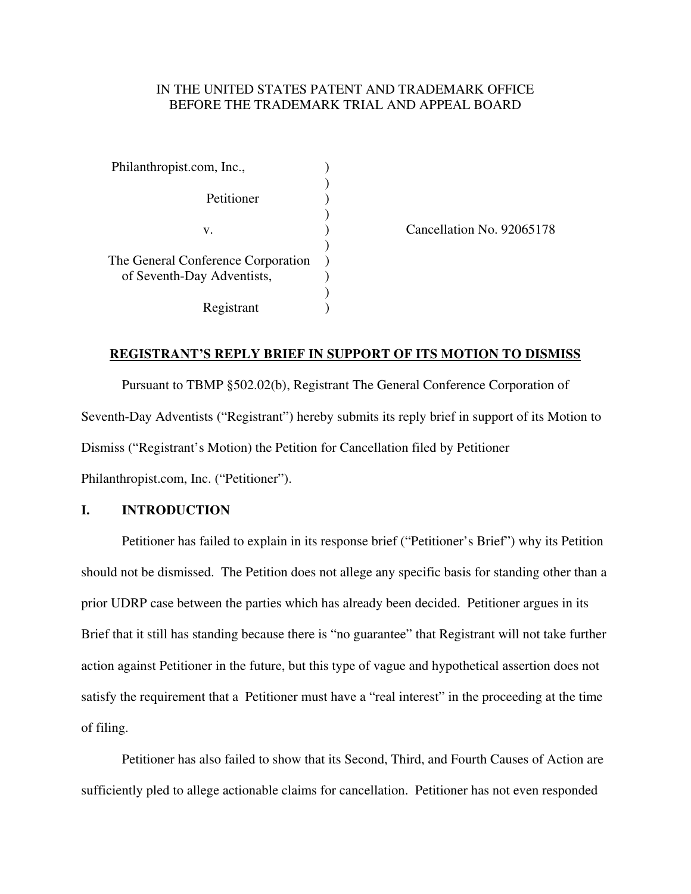# IN THE UNITED STATES PATENT AND TRADEMARK OFFICE BEFORE THE TRADEMARK TRIAL AND APPEAL BOARD

| Philanthropist.com, Inc.,          |  |
|------------------------------------|--|
|                                    |  |
| Petitioner                         |  |
|                                    |  |
| v.                                 |  |
|                                    |  |
| The General Conference Corporation |  |
| of Seventh-Day Adventists,         |  |
|                                    |  |
| Registrant                         |  |

Cancellation No. 92065178

### **REGISTRANT'S REPLY BRIEF IN SUPPORT OF ITS MOTION TO DISMISS**

 Pursuant to TBMP §502.02(b), Registrant The General Conference Corporation of Seventh-Day Adventists ("Registrant") hereby submits its reply brief in support of its Motion to Dismiss ("Registrant's Motion) the Petition for Cancellation filed by Petitioner Philanthropist.com, Inc. ("Petitioner").

### **I. INTRODUCTION**

 Petitioner has failed to explain in its response brief ("Petitioner's Brief") why its Petition should not be dismissed. The Petition does not allege any specific basis for standing other than a prior UDRP case between the parties which has already been decided. Petitioner argues in its Brief that it still has standing because there is "no guarantee" that Registrant will not take further action against Petitioner in the future, but this type of vague and hypothetical assertion does not satisfy the requirement that a Petitioner must have a "real interest" in the proceeding at the time of filing.

 Petitioner has also failed to show that its Second, Third, and Fourth Causes of Action are sufficiently pled to allege actionable claims for cancellation. Petitioner has not even responded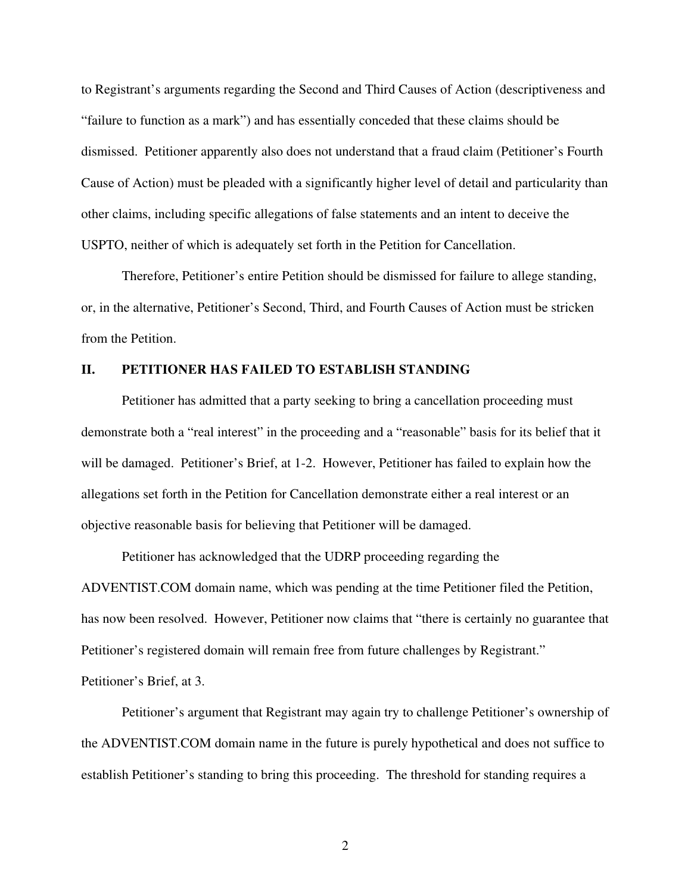to Registrant's arguments regarding the Second and Third Causes of Action (descriptiveness and "failure to function as a mark") and has essentially conceded that these claims should be dismissed. Petitioner apparently also does not understand that a fraud claim (Petitioner's Fourth Cause of Action) must be pleaded with a significantly higher level of detail and particularity than other claims, including specific allegations of false statements and an intent to deceive the USPTO, neither of which is adequately set forth in the Petition for Cancellation.

 Therefore, Petitioner's entire Petition should be dismissed for failure to allege standing, or, in the alternative, Petitioner's Second, Third, and Fourth Causes of Action must be stricken from the Petition.

#### **II. PETITIONER HAS FAILED TO ESTABLISH STANDING**

 Petitioner has admitted that a party seeking to bring a cancellation proceeding must demonstrate both a "real interest" in the proceeding and a "reasonable" basis for its belief that it will be damaged. Petitioner's Brief, at 1-2. However, Petitioner has failed to explain how the allegations set forth in the Petition for Cancellation demonstrate either a real interest or an objective reasonable basis for believing that Petitioner will be damaged.

 Petitioner has acknowledged that the UDRP proceeding regarding the ADVENTIST.COM domain name, which was pending at the time Petitioner filed the Petition, has now been resolved. However, Petitioner now claims that "there is certainly no guarantee that Petitioner's registered domain will remain free from future challenges by Registrant." Petitioner's Brief, at 3.

 Petitioner's argument that Registrant may again try to challenge Petitioner's ownership of the ADVENTIST.COM domain name in the future is purely hypothetical and does not suffice to establish Petitioner's standing to bring this proceeding. The threshold for standing requires a

2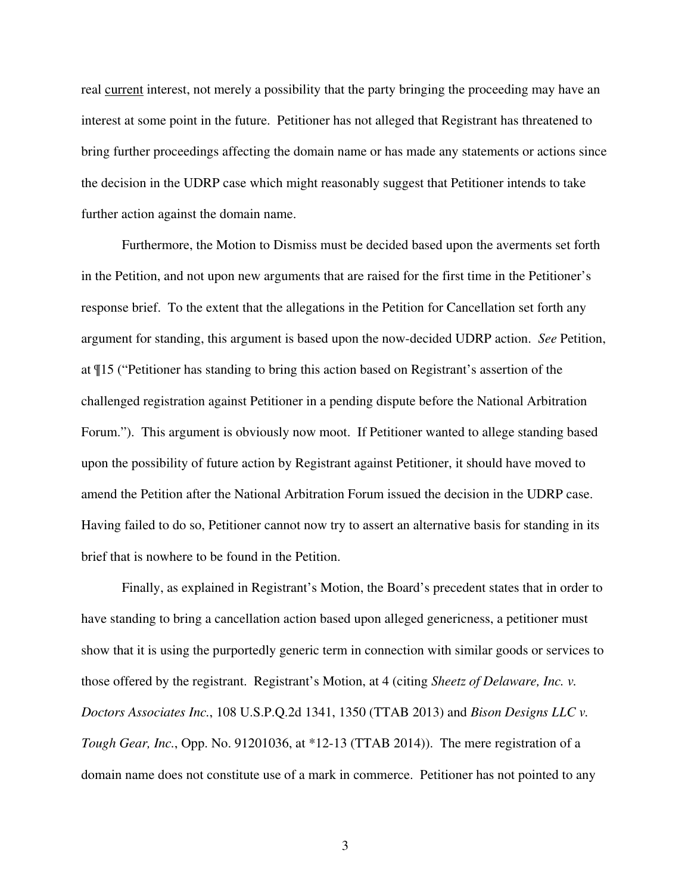real current interest, not merely a possibility that the party bringing the proceeding may have an interest at some point in the future. Petitioner has not alleged that Registrant has threatened to bring further proceedings affecting the domain name or has made any statements or actions since the decision in the UDRP case which might reasonably suggest that Petitioner intends to take further action against the domain name.

 Furthermore, the Motion to Dismiss must be decided based upon the averments set forth in the Petition, and not upon new arguments that are raised for the first time in the Petitioner's response brief. To the extent that the allegations in the Petition for Cancellation set forth any argument for standing, this argument is based upon the now-decided UDRP action. *See* Petition, at ¶15 ("Petitioner has standing to bring this action based on Registrant's assertion of the challenged registration against Petitioner in a pending dispute before the National Arbitration Forum."). This argument is obviously now moot. If Petitioner wanted to allege standing based upon the possibility of future action by Registrant against Petitioner, it should have moved to amend the Petition after the National Arbitration Forum issued the decision in the UDRP case. Having failed to do so, Petitioner cannot now try to assert an alternative basis for standing in its brief that is nowhere to be found in the Petition.

 Finally, as explained in Registrant's Motion, the Board's precedent states that in order to have standing to bring a cancellation action based upon alleged genericness, a petitioner must show that it is using the purportedly generic term in connection with similar goods or services to those offered by the registrant. Registrant's Motion, at 4 (citing *Sheetz of Delaware, Inc. v. Doctors Associates Inc.*, 108 U.S.P.Q.2d 1341, 1350 (TTAB 2013) and *Bison Designs LLC v. Tough Gear, Inc.*, Opp. No. 91201036, at \*12-13 (TTAB 2014)). The mere registration of a domain name does not constitute use of a mark in commerce. Petitioner has not pointed to any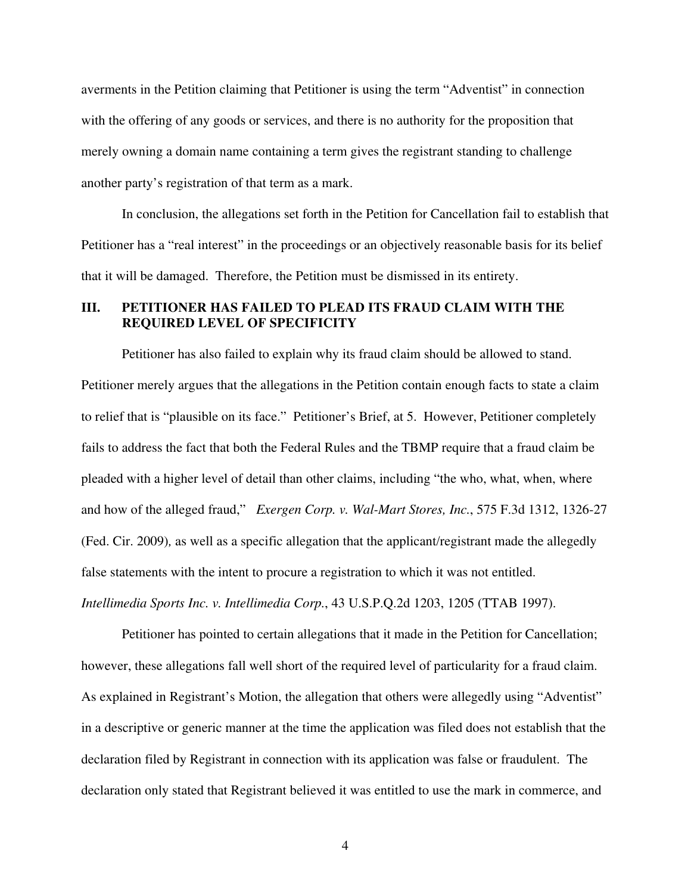averments in the Petition claiming that Petitioner is using the term "Adventist" in connection with the offering of any goods or services, and there is no authority for the proposition that merely owning a domain name containing a term gives the registrant standing to challenge another party's registration of that term as a mark.

In conclusion, the allegations set forth in the Petition for Cancellation fail to establish that Petitioner has a "real interest" in the proceedings or an objectively reasonable basis for its belief that it will be damaged. Therefore, the Petition must be dismissed in its entirety.

## **III. PETITIONER HAS FAILED TO PLEAD ITS FRAUD CLAIM WITH THE REQUIRED LEVEL OF SPECIFICITY**

 Petitioner has also failed to explain why its fraud claim should be allowed to stand. Petitioner merely argues that the allegations in the Petition contain enough facts to state a claim to relief that is "plausible on its face." Petitioner's Brief, at 5. However, Petitioner completely fails to address the fact that both the Federal Rules and the TBMP require that a fraud claim be pleaded with a higher level of detail than other claims, including "the who, what, when, where and how of the alleged fraud," *Exergen Corp. v. Wal-Mart Stores, Inc.*, 575 F.3d 1312, 1326-27 (Fed. Cir. 2009)*,* as well as a specific allegation that the applicant/registrant made the allegedly false statements with the intent to procure a registration to which it was not entitled. *Intellimedia Sports Inc. v. Intellimedia Corp.*, 43 U.S.P.Q.2d 1203, 1205 (TTAB 1997).

 Petitioner has pointed to certain allegations that it made in the Petition for Cancellation; however, these allegations fall well short of the required level of particularity for a fraud claim. As explained in Registrant's Motion, the allegation that others were allegedly using "Adventist" in a descriptive or generic manner at the time the application was filed does not establish that the declaration filed by Registrant in connection with its application was false or fraudulent. The declaration only stated that Registrant believed it was entitled to use the mark in commerce, and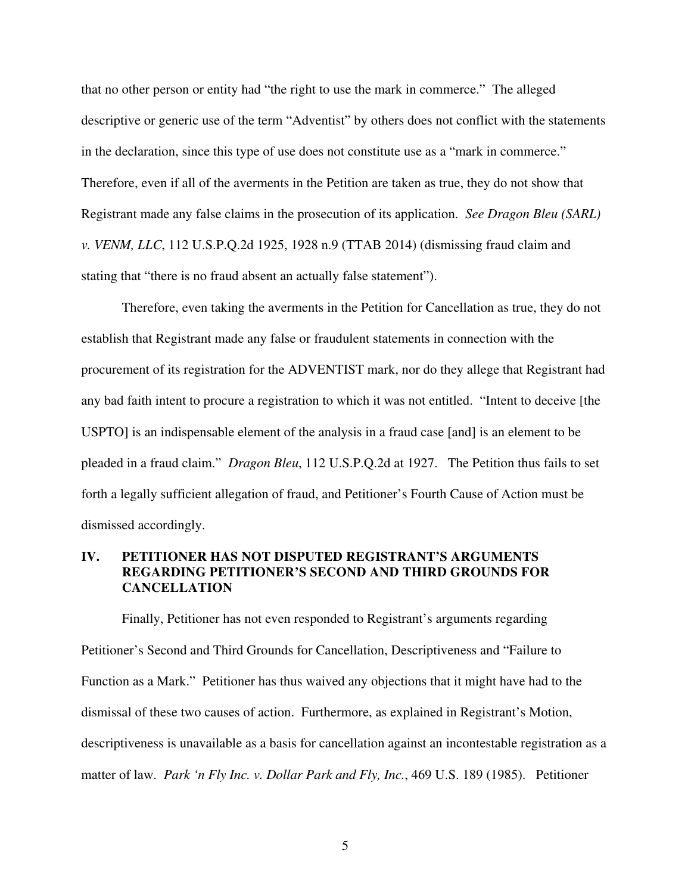that no other person or entity had "the right to use the mark in commerce." The alleged descriptive or generic use of the term "Adventist" by others does not conflict with the statements in the declaration, since this type of use does not constitute use as a "mark in commerce." Therefore, even if all of the averments in the Petition are taken as true, they do not show that Registrant made any false claims in the prosecution of its application. *See Dragon Bleu (SARL) v. VENM, LLC*, 112 U.S.P.Q.2d 1925, 1928 n.9 (TTAB 2014) (dismissing fraud claim and stating that "there is no fraud absent an actually false statement").

 Therefore, even taking the averments in the Petition for Cancellation as true, they do not establish that Registrant made any false or fraudulent statements in connection with the procurement of its registration for the ADVENTIST mark, nor do they allege that Registrant had any bad faith intent to procure a registration to which it was not entitled. "Intent to deceive [the USPTO] is an indispensable element of the analysis in a fraud case [and] is an element to be pleaded in a fraud claim." *Dragon Bleu*, 112 U.S.P.Q.2d at 1927. The Petition thus fails to set forth a legally sufficient allegation of fraud, and Petitioner's Fourth Cause of Action must be dismissed accordingly.

## **IV. PETITIONER HAS NOT DISPUTED REGISTRANT'S ARGUMENTS REGARDING PETITIONER'S SECOND AND THIRD GROUNDS FOR CANCELLATION**

 Finally, Petitioner has not even responded to Registrant's arguments regarding Petitioner's Second and Third Grounds for Cancellation, Descriptiveness and "Failure to Function as a Mark." Petitioner has thus waived any objections that it might have had to the dismissal of these two causes of action. Furthermore, as explained in Registrant's Motion, descriptiveness is unavailable as a basis for cancellation against an incontestable registration as a matter of law. *Park 'n Fly Inc. v. Dollar Park and Fly, Inc.*, 469 U.S. 189 (1985). Petitioner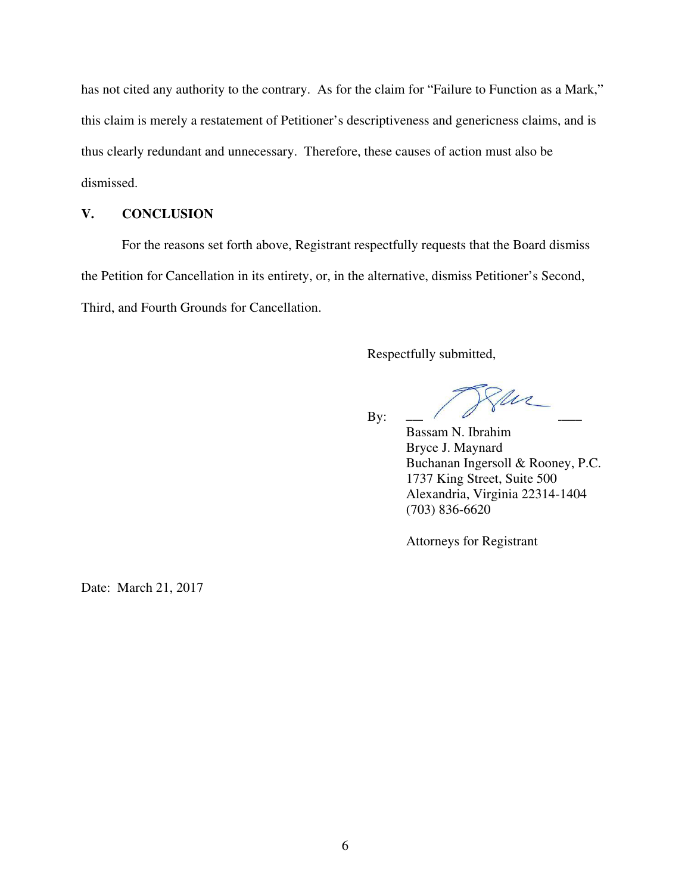has not cited any authority to the contrary. As for the claim for "Failure to Function as a Mark," this claim is merely a restatement of Petitioner's descriptiveness and genericness claims, and is thus clearly redundant and unnecessary. Therefore, these causes of action must also be dismissed.

### **V. CONCLUSION**

 For the reasons set forth above, Registrant respectfully requests that the Board dismiss the Petition for Cancellation in its entirety, or, in the alternative, dismiss Petitioner's Second, Third, and Fourth Grounds for Cancellation.

Respectfully submitted,

 $\overline{\phantom{a}}$ 

By:

 Bassam N. Ibrahim Bryce J. Maynard Buchanan Ingersoll & Rooney, P.C. 1737 King Street, Suite 500 Alexandria, Virginia 22314-1404 (703) 836-6620

Attorneys for Registrant

Date: March 21, 2017